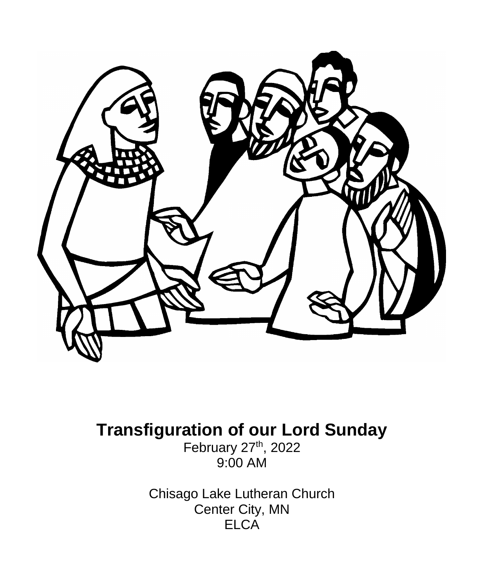

# **Transfiguration of our Lord Sunday**

February 27<sup>th</sup>, 2022 9:00 AM

Chisago Lake Lutheran Church Center City, MN **ELCA**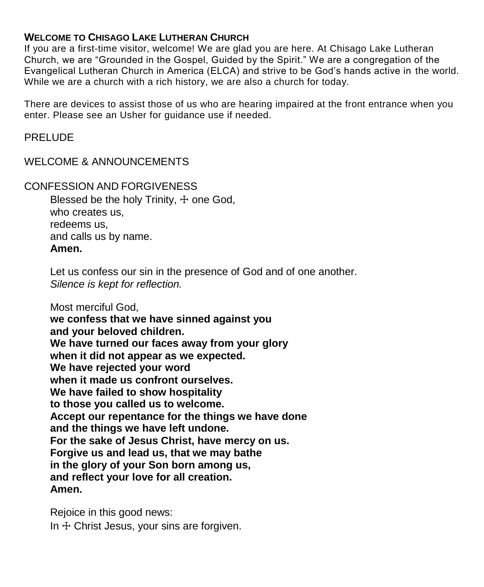#### **WELCOME TO CHISAGO LAKE LUTHERAN CHURCH**

If you are a first-time visitor, welcome! We are glad you are here. At Chisago Lake Lutheran Church, we are "Grounded in the Gospel, Guided by the Spirit." We are a congregation of the Evangelical Lutheran Church in America (ELCA) and strive to be God's hands active in the world. While we are a church with a rich history, we are also a church for today.

There are devices to assist those of us who are hearing impaired at the front entrance when you enter. Please see an Usher for guidance use if needed.

#### PRELUDE

#### WELCOME & ANNOUNCEMENTS

#### CONFESSION AND FORGIVENESS

Blessed be the holy Trinity,  $+$  one God, who creates us, redeems us, and calls us by name. **Amen.**

Let us confess our sin in the presence of God and of one another. *Silence is kept for reflection.*

Most merciful God,

**we confess that we have sinned against you and your beloved children. We have turned our faces away from your glory when it did not appear as we expected. We have rejected your word when it made us confront ourselves. We have failed to show hospitality to those you called us to welcome. Accept our repentance for the things we have done and the things we have left undone. For the sake of Jesus Christ, have mercy on us. Forgive us and lead us, that we may bathe in the glory of your Son born among us, and reflect your love for all creation. Amen.**

Rejoice in this good news: In  $+$  Christ Jesus, your sins are forgiven.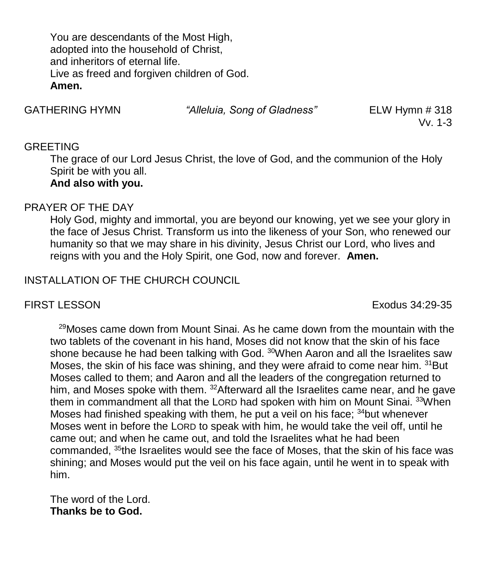You are descendants of the Most High, adopted into the household of Christ, and inheritors of eternal life. Live as freed and forgiven children of God. **Amen.**

GATHERING HYMN *"Alleluia, Song of Gladness"* ELW Hymn # 318

Vv. 1-3

### GREETING

The grace of our Lord Jesus Christ, the love of God, and the communion of the Holy Spirit be with you all.

# **And also with you.**

# PRAYER OF THE DAY

Holy God, mighty and immortal, you are beyond our knowing, yet we see your glory in the face of Jesus Christ. Transform us into the likeness of your Son, who renewed our humanity so that we may share in his divinity, Jesus Christ our Lord, who lives and reigns with you and the Holy Spirit, one God, now and forever. **Amen.**

# INSTALLATION OF THE CHURCH COUNCIL

FIRST LESSON Exodus 34:29-35

 $29$ Moses came down from Mount Sinai. As he came down from the mountain with the two tablets of the covenant in his hand, Moses did not know that the skin of his face shone because he had been talking with God. <sup>30</sup>When Aaron and all the Israelites saw Moses, the skin of his face was shining, and they were afraid to come near him. <sup>31</sup>But Moses called to them; and Aaron and all the leaders of the congregation returned to him, and Moses spoke with them. <sup>32</sup>Afterward all the Israelites came near, and he gave them in commandment all that the LORD had spoken with him on Mount Sinai. <sup>33</sup>When Moses had finished speaking with them, he put a veil on his face; <sup>34</sup>but whenever Moses went in before the LORD to speak with him, he would take the veil off, until he came out; and when he came out, and told the Israelites what he had been commanded,  $35$ the Israelites would see the face of Moses, that the skin of his face was shining; and Moses would put the veil on his face again, until he went in to speak with him.

The word of the Lord. **Thanks be to God.**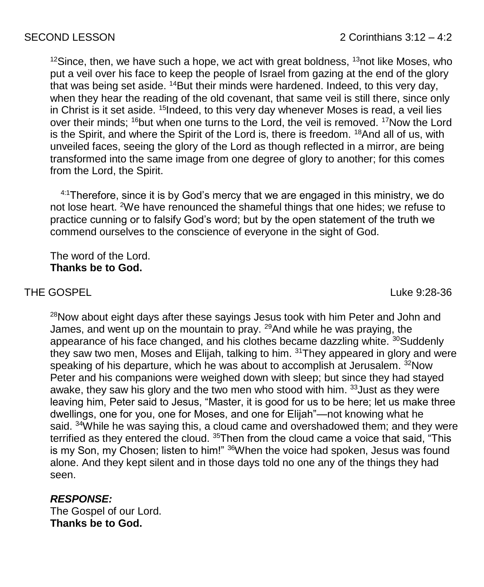$12$ Since, then, we have such a hope, we act with great boldness,  $13$ not like Moses, who put a veil over his face to keep the people of Israel from gazing at the end of the glory that was being set aside.  $14$ But their minds were hardened. Indeed, to this very day, when they hear the reading of the old covenant, that same veil is still there, since only in Christ is it set aside. <sup>15</sup>Indeed, to this very day whenever Moses is read, a veil lies over their minds; <sup>16</sup>but when one turns to the Lord, the veil is removed. <sup>17</sup>Now the Lord is the Spirit, and where the Spirit of the Lord is, there is freedom. <sup>18</sup>And all of us, with unveiled faces, seeing the glory of the Lord as though reflected in a mirror, are being transformed into the same image from one degree of glory to another; for this comes from the Lord, the Spirit.

 $4:1$ Therefore, since it is by God's mercy that we are engaged in this ministry, we do not lose heart. <sup>2</sup>We have renounced the shameful things that one hides; we refuse to practice cunning or to falsify God's word; but by the open statement of the truth we commend ourselves to the conscience of everyone in the sight of God.

The word of the Lord. **Thanks be to God.**

# THE GOSPEL And the state of the state of the state of the state of the state of the state of the state of the state of the state of the state of the state of the state of the state of the state of the state of the state of

<sup>28</sup>Now about eight days after these sayings Jesus took with him Peter and John and James, and went up on the mountain to pray. <sup>29</sup> And while he was praying, the appearance of his face changed, and his clothes became dazzling white. <sup>30</sup>Suddenly they saw two men, Moses and Elijah, talking to him. <sup>31</sup>They appeared in glory and were speaking of his departure, which he was about to accomplish at Jerusalem. <sup>32</sup>Now Peter and his companions were weighed down with sleep; but since they had stayed awake, they saw his glory and the two men who stood with him. <sup>33</sup>Just as they were leaving him, Peter said to Jesus, "Master, it is good for us to be here; let us make three dwellings, one for you, one for Moses, and one for Elijah"—not knowing what he said. <sup>34</sup>While he was saying this, a cloud came and overshadowed them; and they were terrified as they entered the cloud. <sup>35</sup>Then from the cloud came a voice that said, "This is my Son, my Chosen; listen to him!" <sup>36</sup>When the voice had spoken, Jesus was found alone. And they kept silent and in those days told no one any of the things they had seen.

# *RESPONSE:*

The Gospel of our Lord. **Thanks be to God.**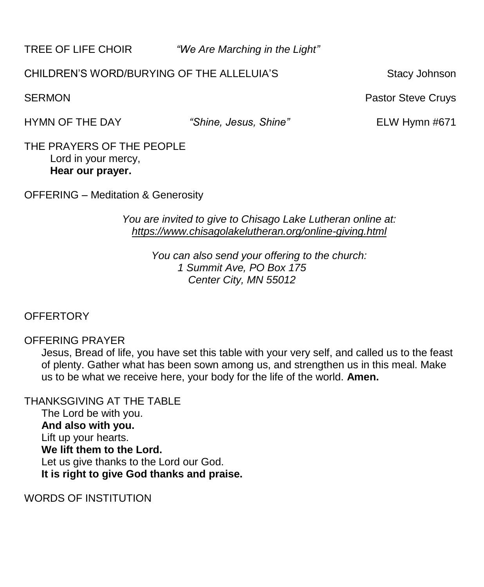TREE OF LIFE CHOIR *"We Are Marching in the Light"*

# CHILDREN'S WORD/BURYING OF THE ALLELUIA'S Stacy Johnson

HYMN OF THE DAY *"Shine, Jesus, Shine"* ELW Hymn #671

THE PRAYERS OF THE PEOPLE Lord in your mercy, **Hear our prayer.**

OFFERING – Meditation & Generosity

*You are invited to give to Chisago Lake Lutheran online at: <https://www.chisagolakelutheran.org/online-giving.html>*

> *You can also send your offering to the church: 1 Summit Ave, PO Box 175 Center City, MN 55012*

# **OFFERTORY**

# OFFERING PRAYER

Jesus, Bread of life, you have set this table with your very self, and called us to the feast of plenty. Gather what has been sown among us, and strengthen us in this meal. Make us to be what we receive here, your body for the life of the world. **Amen.**

THANKSGIVING AT THE TABLE The Lord be with you. **And also with you.** Lift up your hearts. **We lift them to the Lord.** Let us give thanks to the Lord our God. **It is right to give God thanks and praise.**

WORDS OF INSTITUTION

SERMON **Pastor Steve Cruys Pastor Steve Cruys Pastor Steve Cruys**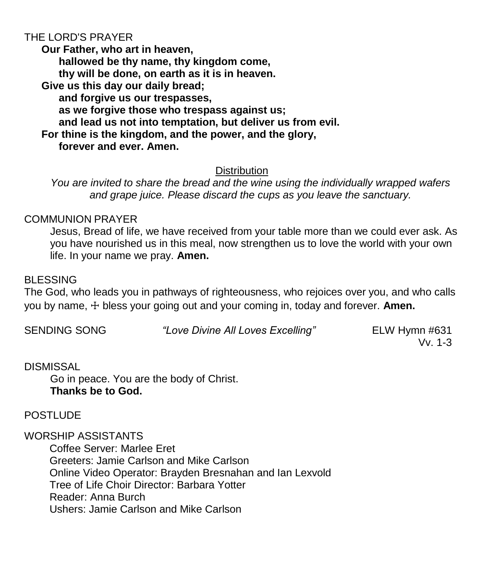# THE LORD'S PRAYER

**Our Father, who art in heaven, hallowed be thy name, thy kingdom come, thy will be done, on earth as it is in heaven. Give us this day our daily bread; and forgive us our trespasses, as we forgive those who trespass against us; and lead us not into temptation, but deliver us from evil. For thine is the kingdom, and the power, and the glory, forever and ever. Amen.**

#### **Distribution**

*You are invited to share the bread and the wine using the individually wrapped wafers and grape juice. Please discard the cups as you leave the sanctuary.*

#### COMMUNION PRAYER

Jesus, Bread of life, we have received from your table more than we could ever ask. As you have nourished us in this meal, now strengthen us to love the world with your own life. In your name we pray. **Amen.**

#### BLESSING

The God, who leads you in pathways of righteousness, who rejoices over you, and who calls you by name, ☩ bless your going out and your coming in, today and forever. **Amen.**

SENDING SONG *"Love Divine All Loves Excelling"* ELW Hymn #631

Vv. 1-3

#### DISMISSAL

Go in peace. You are the body of Christ. **Thanks be to God.**

#### POSTLUDE

WORSHIP ASSISTANTS

Coffee Server: Marlee Eret Greeters: Jamie Carlson and Mike Carlson Online Video Operator: Brayden Bresnahan and Ian Lexvold Tree of Life Choir Director: Barbara Yotter Reader: Anna Burch Ushers: Jamie Carlson and Mike Carlson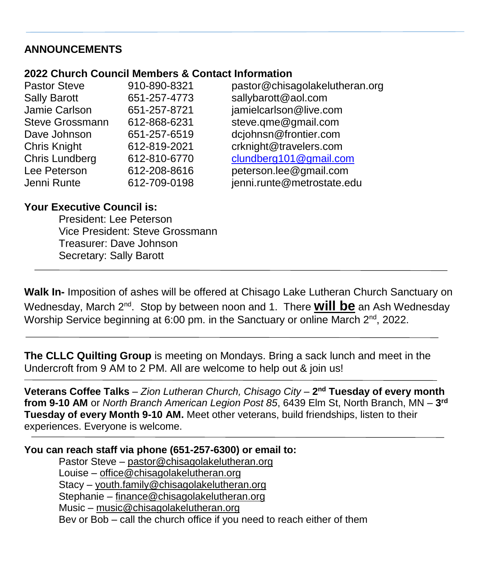# **ANNOUNCEMENTS**

#### **2022 Church Council Members & Contact Information**

| <b>Pastor Steve</b>    | 910-890-8321 | pastor@chisagolakelutheran.org |
|------------------------|--------------|--------------------------------|
| <b>Sally Barott</b>    | 651-257-4773 | sallybarott@aol.com            |
| Jamie Carlson          | 651-257-8721 | jamielcarlson@live.com         |
| <b>Steve Grossmann</b> | 612-868-6231 | steve.qme@gmail.com            |
| Dave Johnson           | 651-257-6519 | dcjohnsn@frontier.com          |
| <b>Chris Knight</b>    | 612-819-2021 | crknight@travelers.com         |
| Chris Lundberg         | 612-810-6770 | clundberg101@gmail.com         |
| Lee Peterson           | 612-208-8616 | peterson.lee@gmail.com         |
| Jenni Runte            | 612-709-0198 | jenni.runte@metrostate.edu     |

### **Your Executive Council is:**

President: Lee Peterson Vice President: Steve Grossmann Treasurer: Dave Johnson Secretary: Sally Barott

**Walk In-** Imposition of ashes will be offered at Chisago Lake Lutheran Church Sanctuary on Wednesday, March 2<sup>nd</sup>. Stop by between noon and 1. There **will be** an Ash Wednesday Worship Service beginning at 6:00 pm. in the Sanctuary or online March  $2^{nd}$ , 2022.

**The CLLC Quilting Group** is meeting on Mondays. Bring a sack lunch and meet in the Undercroft from 9 AM to 2 PM. All are welcome to help out & join us!

**Veterans Coffee Talks** – *Zion Lutheran Church, Chisago City* – **2 nd Tuesday of every month from 9-10 AM** or *North Branch American Legion Post 85*, 6439 Elm St, North Branch, MN – **3 rd Tuesday of every Month 9-10 AM.** Meet other veterans, build friendships, listen to their experiences. Everyone is welcome.

# **You can reach staff via phone (651-257-6300) or email to:**

Pastor Steve – [pastor@chisagolakelutheran.org](mailto:pastor@chisagolakelutheran.org) Louise – [office@chisagolakelutheran.org](mailto:office@chisagolakelutheran.org) Stacy – [youth.family@chisagolakelutheran.org](mailto:youth.family@chisagolakelutheran.org) Stephanie – [finance@chisagolakelutheran.org](mailto:finance@chisagolakelutheran.org) Music – [music@chisagolakelutheran.org](mailto:music@chisagolakelutheran.org) Bev or Bob – call the church office if you need to reach either of them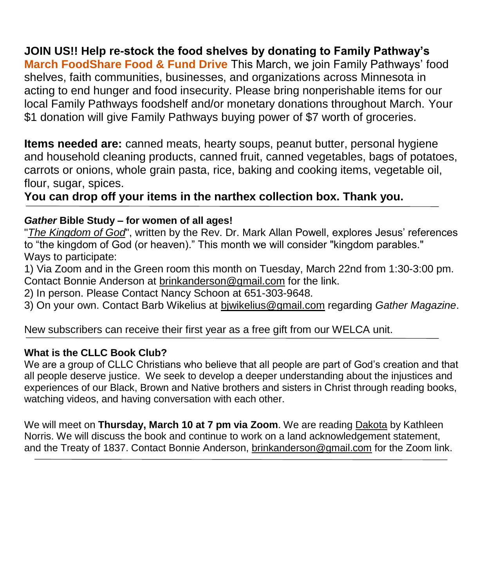# **JOIN US!! Help re-stock the food shelves by donating to Family Pathway's**

**March FoodShare Food & Fund Drive** This March, we join Family Pathways' food shelves, faith communities, businesses, and organizations across Minnesota in acting to end hunger and food insecurity. Please bring nonperishable items for our local Family Pathways foodshelf and/or monetary donations throughout March. Your \$1 donation will give Family Pathways buying power of \$7 worth of groceries.

**Items needed are:** canned meats, hearty soups, peanut butter, personal hygiene and household cleaning products, canned fruit, canned vegetables, bags of potatoes, carrots or onions, whole grain pasta, rice, baking and cooking items, vegetable oil, flour, sugar, spices.

**You can drop off your items in the narthex collection box. Thank you.**

#### *Gather* **Bible Study – for women of all ages!**

"*The Kingdom of God*", written by the Rev. Dr. Mark Allan Powell, explores Jesus' references to "the kingdom of God (or heaven)." This month we will consider "kingdom parables." Ways to participate:

1) Via Zoom and in the Green room this month on Tuesday, March 22nd from 1:30-3:00 pm. Contact Bonnie Anderson at brinkanderson@gmail.com for the link.

2) In person. Please Contact Nancy Schoon at 651-303-9648.

3) On your own. Contact Barb Wikelius at bjwikelius@gmail.com regarding *Gather Magazine*.

New subscribers can receive their first year as a free gift from our WELCA unit.

#### **What is the CLLC Book Club?**

We are a group of CLLC Christians who believe that all people are part of God's creation and that all people deserve justice. We seek to develop a deeper understanding about the injustices and experiences of our Black, Brown and Native brothers and sisters in Christ through reading books, watching videos, and having conversation with each other.

We will meet on **Thursday, March 10 at 7 pm via Zoom**. We are reading Dakota by Kathleen Norris. We will discuss the book and continue to work on a land acknowledgement statement, and the Treaty of 1837. Contact Bonnie Anderson, [brinkanderson@gmail.com](mailto:brinkanderson@gmail.com) for the Zoom link.